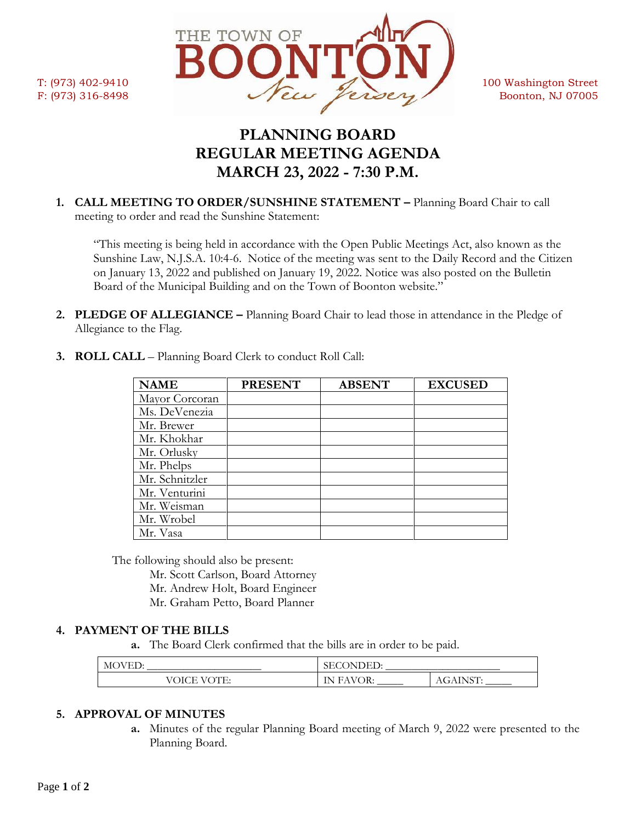

# **PLANNING BOARD REGULAR MEETING AGENDA MARCH 23, 2022 - 7:30 P.M.**

**1. CALL MEETING TO ORDER/SUNSHINE STATEMENT –** Planning Board Chair to call meeting to order and read the Sunshine Statement:

"This meeting is being held in accordance with the Open Public Meetings Act, also known as the Sunshine Law, N.J.S.A. 10:4-6. Notice of the meeting was sent to the Daily Record and the Citizen on January 13, 2022 and published on January 19, 2022. Notice was also posted on the Bulletin Board of the Municipal Building and on the Town of Boonton website."

**2. PLEDGE OF ALLEGIANCE –** Planning Board Chair to lead those in attendance in the Pledge of Allegiance to the Flag.

| <b>NAME</b>    | <b>PRESENT</b> | <b>ABSENT</b> | <b>EXCUSED</b> |
|----------------|----------------|---------------|----------------|
| Mayor Corcoran |                |               |                |
| Ms. DeVenezia  |                |               |                |
| Mr. Brewer     |                |               |                |
| Mr. Khokhar    |                |               |                |
| Mr. Orlusky    |                |               |                |
| Mr. Phelps     |                |               |                |
| Mr. Schnitzler |                |               |                |
| Mr. Venturini  |                |               |                |
| Mr. Weisman    |                |               |                |
| Mr. Wrobel     |                |               |                |
| Mr. Vasa       |                |               |                |

**3. ROLL CALL** – Planning Board Clerk to conduct Roll Call:

The following should also be present:

Mr. Scott Carlson, Board Attorney Mr. Andrew Holt, Board Engineer

Mr. Graham Petto, Board Planner

## **4. PAYMENT OF THE BILLS**

**a.** The Board Clerk confirmed that the bills are in order to be paid.

| $\mathbf{v}$<br>--                          | ж⊣<br>ואו<br>ىس<br>$\tilde{\phantom{a}}$           |                           |
|---------------------------------------------|----------------------------------------------------|---------------------------|
| <b>The State</b><br>OICE<br>$\sqrt{6}$<br>◡ | WOR-<br>۱Ν.<br>$\mathbf{H}$<br>.<br>$\overline{1}$ | $T$ $\cap$ $T$<br>7777777 |

## **5. APPROVAL OF MINUTES**

**a.** Minutes of the regular Planning Board meeting of March 9, 2022 were presented to the Planning Board.